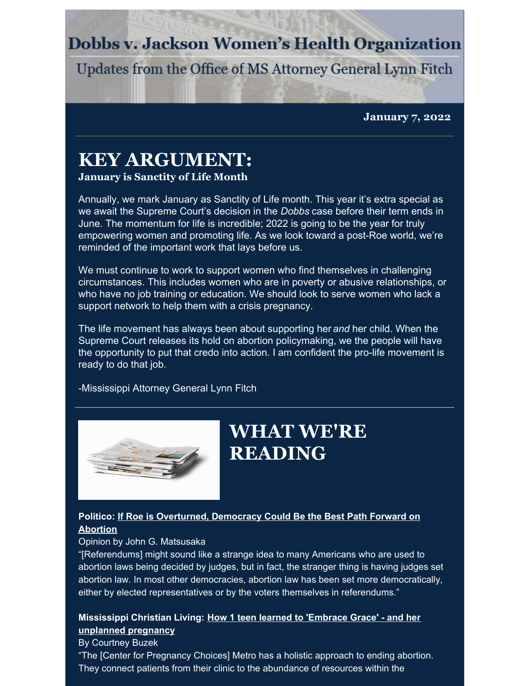## **Dobbs v. Jackson Women's Health Organization**

Updates from the Office of MS Attorney General Lynn Fitch

**January 7, 2022**

## **KEY ARGUMENT:**

#### **January is Sanctity of Life Month**

Annually, we mark January as Sanctity of Life month. This year it's extra special as we await the Supreme Court's decision in the *Dobbs* case before their term ends in June. The momentum for life is incredible; 2022 is going to be the year for truly empowering women and promoting life. As we look toward a post-Roe world, we're reminded of the important work that lays before us.

We must continue to work to support women who find themselves in challenging circumstances. This includes women who are in poverty or abusive relationships, or who have no job training or education. We should look to serve women who lack a support network to help them with a crisis pregnancy.

The life movement has always been about supporting her *and* her child. When the Supreme Court releases its hold on abortion policymaking, we the people will have the opportunity to put that credo into action. I am confident the pro-life movement is ready to do that job.

-Mississippi Attorney General Lynn Fitch



## **WHAT WE'RE READING**

### **Politico: If Roe is [Overturned,](https://www.politico.com/news/magazine/2022/01/04/a-radical-idea-for-the-post-roe-era-democracy-526437?cid=apn) Democracy Could Be the Best Path Forward on Abortion**

#### Opinion by John G. Matsusaka

"[Referendums] might sound like a strange idea to many Americans who are used to abortion laws being decided by judges, but in fact, the stranger thing is having judges set abortion law. In most other democracies, abortion law has been set more democratically, either by elected representatives or by the voters themselves in referendums."

### **[Mississippi](https://issuu.com/metrochristianliving.com/docs/mcl_january_2022_hr/22) Christian Living: How 1 teen learned to 'Embrace Grace' - and her unplanned pregnancy**

#### By Courtney Buzek

"The [Center for Pregnancy Choices] Metro has a holistic approach to ending abortion. They connect patients from their clinic to the abundance of resources within the